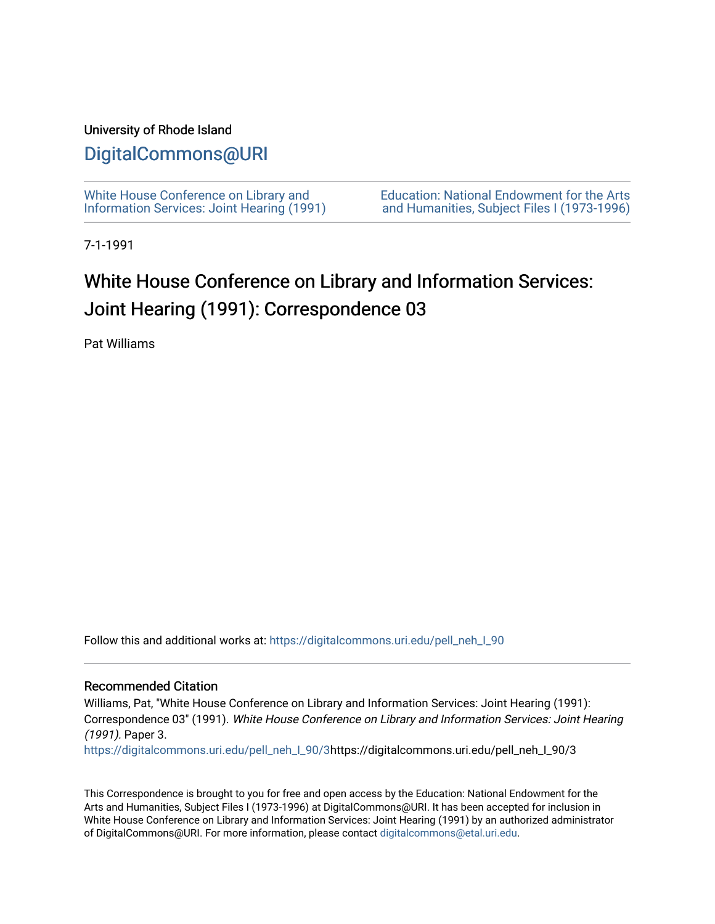### University of Rhode Island

# [DigitalCommons@URI](https://digitalcommons.uri.edu/)

[White House Conference on Library and](https://digitalcommons.uri.edu/pell_neh_I_90) [Information Services: Joint Hearing \(1991\)](https://digitalcommons.uri.edu/pell_neh_I_90) [Education: National Endowment for the Arts](https://digitalcommons.uri.edu/pell_neh_I)  [and Humanities, Subject Files I \(1973-1996\)](https://digitalcommons.uri.edu/pell_neh_I) 

7-1-1991

# White House Conference on Library and Information Services: Joint Hearing (1991): Correspondence 03

Pat Williams

Follow this and additional works at: [https://digitalcommons.uri.edu/pell\\_neh\\_I\\_90](https://digitalcommons.uri.edu/pell_neh_I_90?utm_source=digitalcommons.uri.edu%2Fpell_neh_I_90%2F3&utm_medium=PDF&utm_campaign=PDFCoverPages) 

#### Recommended Citation

Williams, Pat, "White House Conference on Library and Information Services: Joint Hearing (1991): Correspondence 03" (1991). White House Conference on Library and Information Services: Joint Hearing (1991). Paper 3.

[https://digitalcommons.uri.edu/pell\\_neh\\_I\\_90/3h](https://digitalcommons.uri.edu/pell_neh_I_90/3?utm_source=digitalcommons.uri.edu%2Fpell_neh_I_90%2F3&utm_medium=PDF&utm_campaign=PDFCoverPages)ttps://digitalcommons.uri.edu/pell\_neh\_I\_90/3

This Correspondence is brought to you for free and open access by the Education: National Endowment for the Arts and Humanities, Subject Files I (1973-1996) at DigitalCommons@URI. It has been accepted for inclusion in White House Conference on Library and Information Services: Joint Hearing (1991) by an authorized administrator of DigitalCommons@URI. For more information, please contact [digitalcommons@etal.uri.edu](mailto:digitalcommons@etal.uri.edu).